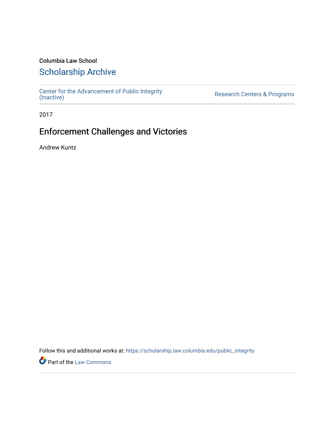### Columbia Law School

## [Scholarship Archive](https://scholarship.law.columbia.edu/)

[Center for the Advancement of Public Integrity](https://scholarship.law.columbia.edu/public_integrity)<br>(Inactive)

Research Centers & Programs

2017

## Enforcement Challenges and Victories

Andrew Kuntz

Follow this and additional works at: [https://scholarship.law.columbia.edu/public\\_integrity](https://scholarship.law.columbia.edu/public_integrity?utm_source=scholarship.law.columbia.edu%2Fpublic_integrity%2F41&utm_medium=PDF&utm_campaign=PDFCoverPages)

**Part of the [Law Commons](http://network.bepress.com/hgg/discipline/578?utm_source=scholarship.law.columbia.edu%2Fpublic_integrity%2F41&utm_medium=PDF&utm_campaign=PDFCoverPages)**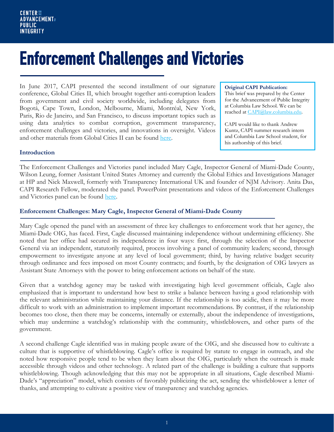# Enforcement Challenges and Victories

In June 2017, CAPI presented the second installment of our signature conference, Global Cities II, which brought together anti-corruption leaders from government and civil society worldwide, including delegates from Bogotá, Cape Town, London, Melbourne, Miami, Montréal, New York, Paris, Rio de Janeiro, and San Francisco, to discuss important topics such as using data analytics to combat corruption, government transparency, enforcement challenges and victories, and innovations in oversight. Videos and other materials from Global Cities II can be found [here.](https://www.law.columbia.edu/public-integrity/conferences-and-events/upcoming-events/global-cities-ii)

#### **Original CAPI Publication:**

This brief was prepared by the Center for the Advancement of Public Integrity at Columbia Law School. We can be reached at [CAPI@law.columbia.edu.](mailto:CAPI@law.columbia.edu)

CAPI would like to thank Andrew Kuntz, CAPI summer research intern and Columbia Law School student, for his authorship of this brief.

#### **Introduction**

The Enforcement Challenges and Victories panel included Mary Cagle, Inspector General of Miami-Dade County, Wilson Leung, former Assistant United States Attorney and currently the Global Ethics and Investigations Manager at HP and Nick Maxwell, formerly with Transparency International UK and founder of NJM Advisory. Anita Das, CAPI Research Fellow, moderated the panel. PowerPoint presentations and videos of the Enforcement Challenges and Victories panel can be found [here.](https://www.law.columbia.edu/public-integrity/enforcement-challenges-and-victories)

#### **Enforcement Challenges: Mary Cagle, Inspector General of Miami-Dade County**

Mary Cagle opened the panel with an assessment of three key challenges to enforcement work that her agency, the Miami-Dade OIG, has faced. First, Cagle discussed maintaining independence without undermining efficiency. She noted that her office had secured its independence in four ways: first, through the selection of the Inspector General via an independent, statutorily required, process involving a panel of community leaders; second, through empowerment to investigate anyone at any level of local government; third, by having relative budget security through ordinance and fees imposed on most County contracts; and fourth, by the designation of OIG lawyers as Assistant State Attorneys with the power to bring enforcement actions on behalf of the state.

Given that a watchdog agency may be tasked with investigating high level government officials, Cagle also emphasized that is important to understand how best to strike a balance between having a good relationship with the relevant administration while maintaining your distance. If the relationship is too acidic, then it may be more difficult to work with an administration to implement important recommendations. By contrast, if the relationship becomes too close, then there may be concerns, internally or externally, about the independence of investigations, which may undermine a watchdog's relationship with the community, whistleblowers, and other parts of the government.

A second challenge Cagle identified was in making people aware of the OIG, and she discussed how to cultivate a culture that is supportive of whistleblowing. Cagle's office is required by statute to engage in outreach, and she noted how responsive people tend to be when they learn about the OIG, particularly when the outreach is made accessible through videos and other technology. A related part of the challenge is building a culture that supports whistleblowing. Though acknowledging that this may not be appropriate in all situations, Cagle described Miami-Dade's "appreciation" model, which consists of favorably publicizing the act, sending the whistleblower a letter of thanks, and attempting to cultivate a positive view of transparency and watchdog agencies.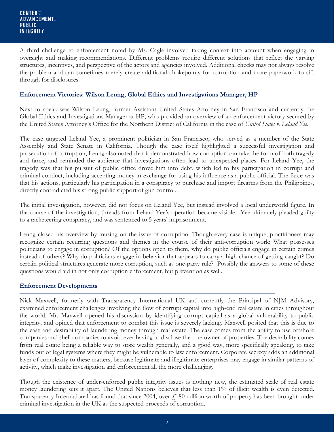A third challenge to enforcement noted by Ms. Cagle involved taking context into account when engaging in oversight and making recommendations. Different problems require different solutions that reflect the varying structures, incentives, and perspective of the actors and agencies involved. Additional checks may not always resolve the problem and can sometimes merely create additional chokepoints for corruption and more paperwork to sift through for disclosures.

#### **Enforcement Victories: Wilson Leung, Global Ethics and Investigations Manager, HP**

Next to speak was Wilson Leung, former Assistant United States Attorney in San Francisco and currently the Global Ethics and Investigations Manager at HP, who provided an overview of an enforcement victory secured by the United States Attorney's Office for the Northern District of California in the case of *United States v. Leland Yee*.

The case targeted Leland Yee, a prominent politician in San Francisco, who served as a member of the State Assembly and State Senate in California. Though the case itself highlighted a successful investigation and prosecution of corruption, Leung also noted that it demonstrated how corruption can take the form of both tragedy and farce, and reminded the audience that investigations often lead to unexpected places. For Leland Yee, the tragedy was that his pursuit of public office drove him into debt, which led to his participation in corrupt and criminal conduct, including accepting money in exchange for using his influence as a public official. The farce was that his actions, particularly his participation in a conspiracy to purchase and import firearms from the Philippines, directly contradicted his strong public support of gun control.

The initial investigation, however, did not focus on Leland Yee, but instead involved a local underworld figure. In the course of the investigation, threads from Leland Yee's operation became visible. Yee ultimately pleaded guilty to a racketeering conspiracy, and was sentenced to 5 years' imprisonment.

Leung closed his overview by musing on the issue of corruption. Though every case is unique, practitioners may recognize certain recurring questions and themes in the course of their anti-corruption work: What possesses politicians to engage in corruption? Of the options open to them, why do public officials engage in certain crimes instead of others? Why do politicians engage in behavior that appears to carry a high chance of getting caught? Do certain political structures generate more corruption, such as one-party rule? Possibly the answers to some of these questions would aid in not only corruption enforcement, but prevention as well.

#### **Enforcement Developments**

Nick Maxwell, formerly with Transparency International UK and currently the Principal of NJM Advisory, examined enforcement challenges involving the flow of corrupt capital into high-end real estate in cities throughout the world. Mr. Maxwell opened his discussion by identifying corrupt capital as a global vulnerability to public integrity, and opined that enforcement to combat this issue is severely lacking. Maxwell posited that this is due to the ease and desirability of laundering money through real estate. The ease comes from the ability to use offshore companies and shell companies to avoid ever having to disclose the true owner of properties. The desirability comes from real estate being a reliable way to store wealth generally, and a good way, more specifically speaking, to take funds out of legal systems where they might be vulnerable to law enforcement. Corporate secrecy adds an additional layer of complexity to these matters, because legitimate and illegitimate enterprises may engage in similar patterns of activity, which make investigation and enforcement all the more challenging.

Though the existence of under-enforced public integrity issues is nothing new, the estimated scale of real estate money laundering sets it apart. The United Nations believes that less than 1% of illicit wealth is even detected. Transparency International has found that since 2004, over  $f$ 180 million worth of property has been brought under criminal investigation in the UK as the suspected proceeds of corruption.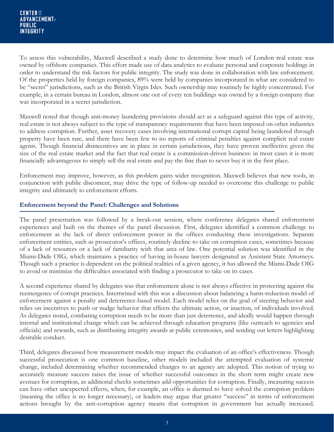To assess this vulnerability, Maxwell described a study done to determine how much of London real estate was owned by offshore companies. This effort made use of data analytics to evaluate personal and corporate holdings in order to understand the risk factors for public integrity. The study was done in collaboration with law enforcement. Of the properties held by foreign companies, 89% were held by companies incorporated in what are considered to be "secret" jurisdictions, such as the British Virgin Isles. Such ownership may routinely be highly concentrated. For example, in a certain bureau in London, almost one out of every ten buildings was owned by a foreign company that was incorporated in a secret jurisdiction.

Maxwell noted that though anti-money laundering provisions should act as a safeguard against this type of activity, real estate is not always subject to the type of transparency requirements that have been imposed on other industries to address corruption. Further, asset recovery cases involving international corrupt capital being laundered through property have been rare, and there have been few to no reports of criminal penalties against complicit real estate agents. Though financial disincentives are in place in certain jurisdictions, they have proven ineffective given the size of the real estate market and the fact that real estate is a commission-driven business: in most cases it is more financially advantageous to simply sell the real estate and pay the fine than to never buy it in the first place.

Enforcement may improve, however, as this problem gains wider recognition. Maxwell believes that new tools, in conjunction with public discontent, may drive the type of follow-up needed to overcome this challenge to public integrity and ultimately to enforcement efforts.

#### **Enforcement beyond the Panel: Challenges and Solutions**

The panel presentation was followed by a break-out session, where conference delegates shared enforcement experiences and built on the themes of the panel discussion. First, delegates identified a common challenge to enforcement as the lack of direct enforcement power in the offices conducting these investigations. Separate enforcement entities, such as prosecutor's offices, routinely decline to take on corruption cases, sometimes because of a lack of resources or a lack of familiarity with that area of law. One potential solution was identified in the Miami-Dade OIG, which maintains a practice of having in-house lawyers designated as Assistant State Attorneys. Though such a practice is dependent on the political realities of a given agency, it has allowed the Miami-Dade OIG to avoid or minimize the difficulties associated with finding a prosecutor to take on its cases.

A second experience shared by delegates was that enforcement alone is not always effective in protecting against the reemergence of corrupt practices. Intertwined with this was a discussion about balancing a harm-reduction model of enforcement against a penalty and deterrence-based model. Each model relies on the goal of steering behavior and relies on incentives to push or nudge behavior that effects the ultimate action, or inaction, of individuals involved. As delegates noted, combating corruption needs to be more than just deterrence, and ideally would happen through internal and institutional change which can be achieved through education programs (like outreach to agencies and officials) and rewards, such as distributing integrity awards at public ceremonies, and sending out letters highlighting desirable conduct.

Third, delegates discussed how measurement models may impact the evaluation of an office's effectiveness. Though successful prosecution is one common baseline, other models included the attempted evaluation of systemic change, included determining whether recommended changes to an agency are adopted. This notion of trying to accurately measure success raises the issue of whether successful outcomes in the short term might create new avenues for corruption, as additional checks sometimes add opportunities for corruption. Finally, measuring success can have other unexpected effects, when, for example, an office is deemed to have solved the corruption problem (meaning the office is no longer necessary), or leaders may argue that greater "success" in terms of enforcement actions brought by the anti-corruption agency means that corruption in government has actually increased.